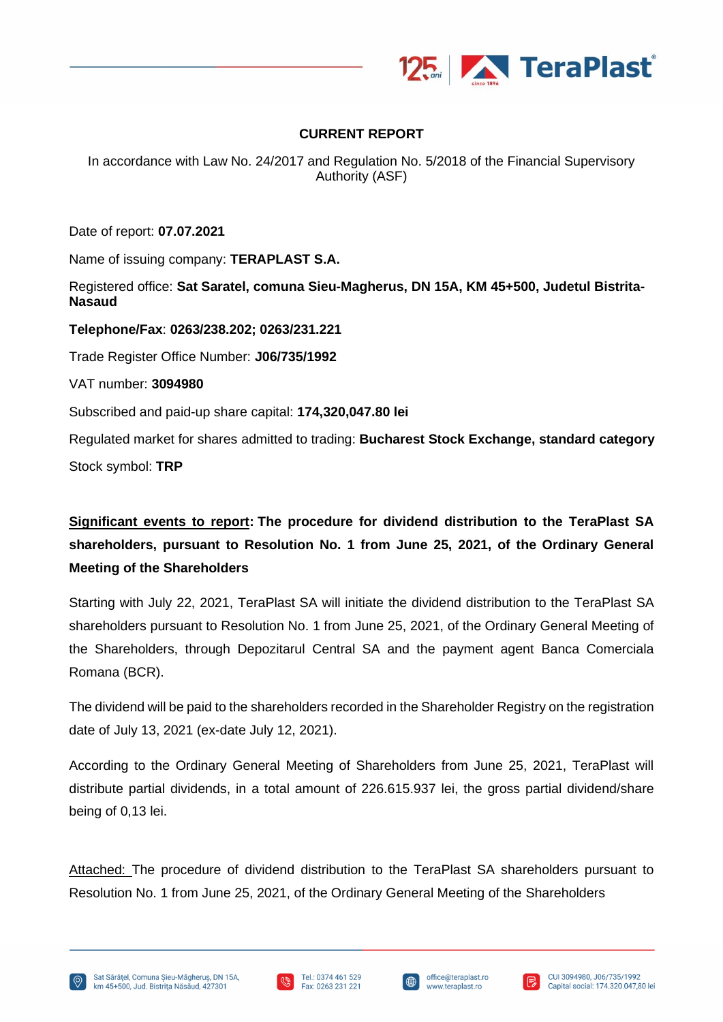

## **CURRENT REPORT**

In accordance with Law No. 24/2017 and Regulation No. 5/2018 of the Financial Supervisory Authority (ASF)

Date of report: **07.07.2021**

Name of issuing company: **TERAPLAST S.A.**

Registered office: **Sat Saratel, comuna Sieu-Magherus, DN 15A, KM 45+500, Judetul Bistrita-Nasaud**

**Telephone/Fax**: **0263/238.202; 0263/231.221** Trade Register Office Number: **J06/735/1992** VAT number: **3094980** Subscribed and paid-up share capital: **174,320,047.80 lei** Regulated market for shares admitted to trading: **Bucharest Stock Exchange, standard category** Stock symbol: **TRP**

**Significant events to report: The procedure for dividend distribution to the TeraPlast SA shareholders, pursuant to Resolution No. 1 from June 25, 2021, of the Ordinary General Meeting of the Shareholders**

Starting with July 22, 2021, TeraPlast SA will initiate the dividend distribution to the TeraPlast SA shareholders pursuant to Resolution No. 1 from June 25, 2021, of the Ordinary General Meeting of the Shareholders, through Depozitarul Central SA and the payment agent Banca Comerciala Romana (BCR).

The dividend will be paid to the shareholders recorded in the Shareholder Registry on the registration date of July 13, 2021 (ex-date July 12, 2021).

According to the Ordinary General Meeting of Shareholders from June 25, 2021, TeraPlast will distribute partial dividends, in a total amount of 226.615.937 lei, the gross partial dividend/share being of 0,13 lei.

Attached: The procedure of dividend distribution to the TeraPlast SA shareholders pursuant to Resolution No. 1 from June 25, 2021, of the Ordinary General Meeting of the Shareholders







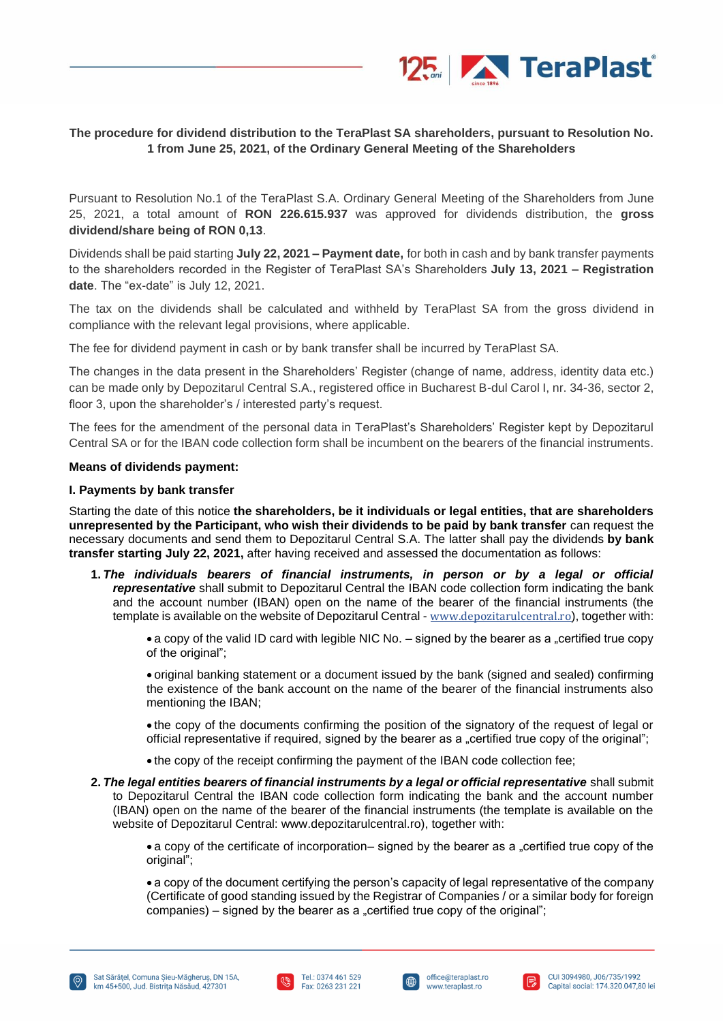

### **The procedure for dividend distribution to the TeraPlast SA shareholders, pursuant to Resolution No. 1 from June 25, 2021, of the Ordinary General Meeting of the Shareholders**

Pursuant to Resolution No.1 of the TeraPlast S.A. Ordinary General Meeting of the Shareholders from June 25, 2021, a total amount of **RON 226.615.937** was approved for dividends distribution, the **gross dividend/share being of RON 0,13**.

Dividends shall be paid starting **July 22, 2021 – Payment date,** for both in cash and by bank transfer payments to the shareholders recorded in the Register of TeraPlast SA's Shareholders **July 13, 2021 – Registration date**. The "ex-date" is July 12, 2021.

The tax on the dividends shall be calculated and withheld by TeraPlast SA from the gross dividend in compliance with the relevant legal provisions, where applicable.

The fee for dividend payment in cash or by bank transfer shall be incurred by TeraPlast SA.

The changes in the data present in the Shareholders' Register (change of name, address, identity data etc.) can be made only by Depozitarul Central S.A., registered office in Bucharest B-dul Carol I, nr. 34-36, sector 2, floor 3, upon the shareholder's / interested party's request.

The fees for the amendment of the personal data in TeraPlast's Shareholders' Register kept by Depozitarul Central SA or for the IBAN code collection form shall be incumbent on the bearers of the financial instruments.

#### **Means of dividends payment:**

#### **I. Payments by bank transfer**

Starting the date of this notice **the shareholders, be it individuals or legal entities, that are shareholders unrepresented by the Participant, who wish their dividends to be paid by bank transfer** can request the necessary documents and send them to Depozitarul Central S.A. The latter shall pay the dividends **by bank transfer starting July 22, 2021,** after having received and assessed the documentation as follows:

**1.** *The individuals bearers of financial instruments, in person or by a legal or official representative* shall submit to Depozitarul Central the IBAN code collection form indicating the bank and the account number (IBAN) open on the name of the bearer of the financial instruments (the template is available on the website of Depozitarul Central - [www.depozitarulcentral.ro](http://www.depozitarulcentral.ro/)), together with:

• a copy of the valid ID card with legible NIC No.  $-$  signed by the bearer as a "certified true copy of the original";

• original banking statement or a document issued by the bank (signed and sealed) confirming the existence of the bank account on the name of the bearer of the financial instruments also mentioning the IBAN;

• the copy of the documents confirming the position of the signatory of the request of legal or official representative if required, signed by the bearer as a "certified true copy of the original";

- the copy of the receipt confirming the payment of the IBAN code collection fee;
- **2.** *The legal entities bearers of financial instruments by a legal or official representative* shall submit to Depozitarul Central the IBAN code collection form indicating the bank and the account number (IBAN) open on the name of the bearer of the financial instruments (the template is available on the website of Depozitarul Central: www.depozitarulcentral.ro), together with:

• a copy of the certificate of incorporation– signed by the bearer as a "certified true copy of the original";

• a copy of the document certifying the person's capacity of legal representative of the company (Certificate of good standing issued by the Registrar of Companies / or a similar body for foreign companies) – signed by the bearer as a "certified true copy of the original";







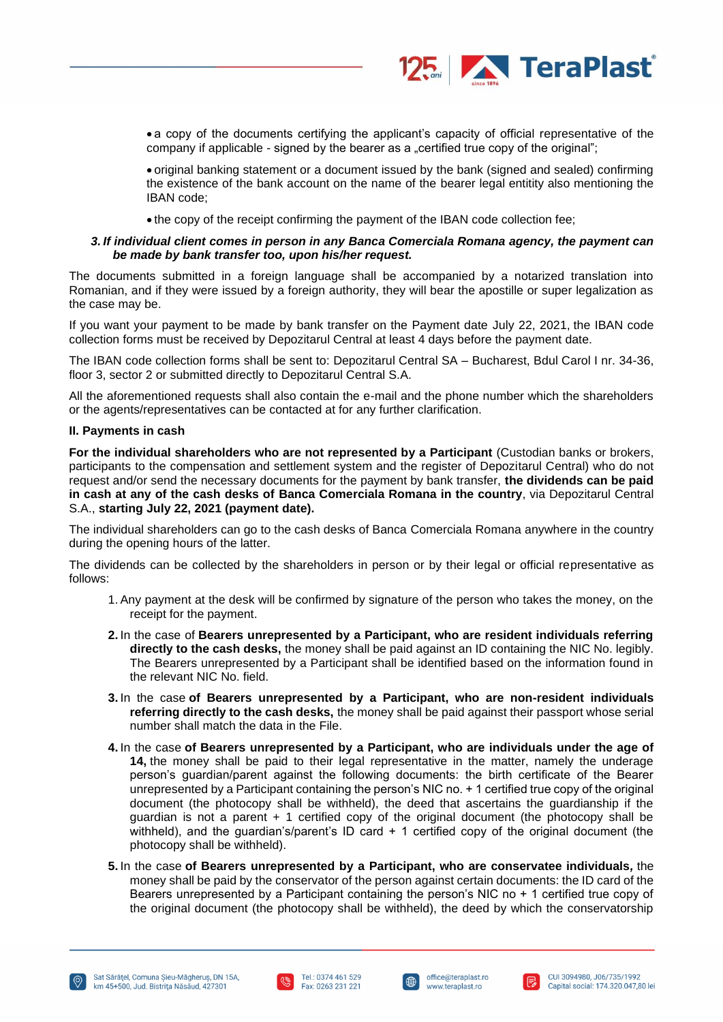

• a copy of the documents certifying the applicant's capacity of official representative of the company if applicable - signed by the bearer as a "certified true copy of the original";

• original banking statement or a document issued by the bank (signed and sealed) confirming the existence of the bank account on the name of the bearer legal entitity also mentioning the IBAN code;

• the copy of the receipt confirming the payment of the IBAN code collection fee;

#### *3. If individual client comes in person in any Banca Comerciala Romana agency, the payment can be made by bank transfer too, upon his/her request.*

The documents submitted in a foreign language shall be accompanied by a notarized translation into Romanian, and if they were issued by a foreign authority, they will bear the apostille or super legalization as the case may be.

If you want your payment to be made by bank transfer on the Payment date July 22, 2021, the IBAN code collection forms must be received by Depozitarul Central at least 4 days before the payment date.

The IBAN code collection forms shall be sent to: Depozitarul Central SA – Bucharest, Bdul Carol I nr. 34-36, floor 3, sector 2 or submitted directly to Depozitarul Central S.A.

All the aforementioned requests shall also contain the e-mail and the phone number which the shareholders or the agents/representatives can be contacted at for any further clarification.

#### **II. Payments in cash**

**For the individual shareholders who are not represented by a Participant** (Custodian banks or brokers, participants to the compensation and settlement system and the register of Depozitarul Central) who do not request and/or send the necessary documents for the payment by bank transfer, **the dividends can be paid in cash at any of the cash desks of Banca Comerciala Romana in the country**, via Depozitarul Central S.A., **starting July 22, 2021 (payment date).**

The individual shareholders can go to the cash desks of Banca Comerciala Romana anywhere in the country during the opening hours of the latter.

The dividends can be collected by the shareholders in person or by their legal or official representative as follows:

- 1. Any payment at the desk will be confirmed by signature of the person who takes the money, on the receipt for the payment.
- **2.** In the case of **Bearers unrepresented by a Participant, who are resident individuals referring directly to the cash desks,** the money shall be paid against an ID containing the NIC No. legibly. The Bearers unrepresented by a Participant shall be identified based on the information found in the relevant NIC No. field.
- **3.** In the case **of Bearers unrepresented by a Participant, who are non-resident individuals referring directly to the cash desks,** the money shall be paid against their passport whose serial number shall match the data in the File.
- **4.** In the case **of Bearers unrepresented by a Participant, who are individuals under the age of 14,** the money shall be paid to their legal representative in the matter, namely the underage person's guardian/parent against the following documents: the birth certificate of the Bearer unrepresented by a Participant containing the person's NIC no. + 1 certified true copy of the original document (the photocopy shall be withheld), the deed that ascertains the guardianship if the guardian is not a parent + 1 certified copy of the original document (the photocopy shall be withheld), and the guardian's/parent's ID card + 1 certified copy of the original document (the photocopy shall be withheld).
- **5.** In the case **of Bearers unrepresented by a Participant, who are conservatee individuals***,* the money shall be paid by the conservator of the person against certain documents: the ID card of the Bearers unrepresented by a Participant containing the person's NIC no + 1 certified true copy of the original document (the photocopy shall be withheld), the deed by which the conservatorship





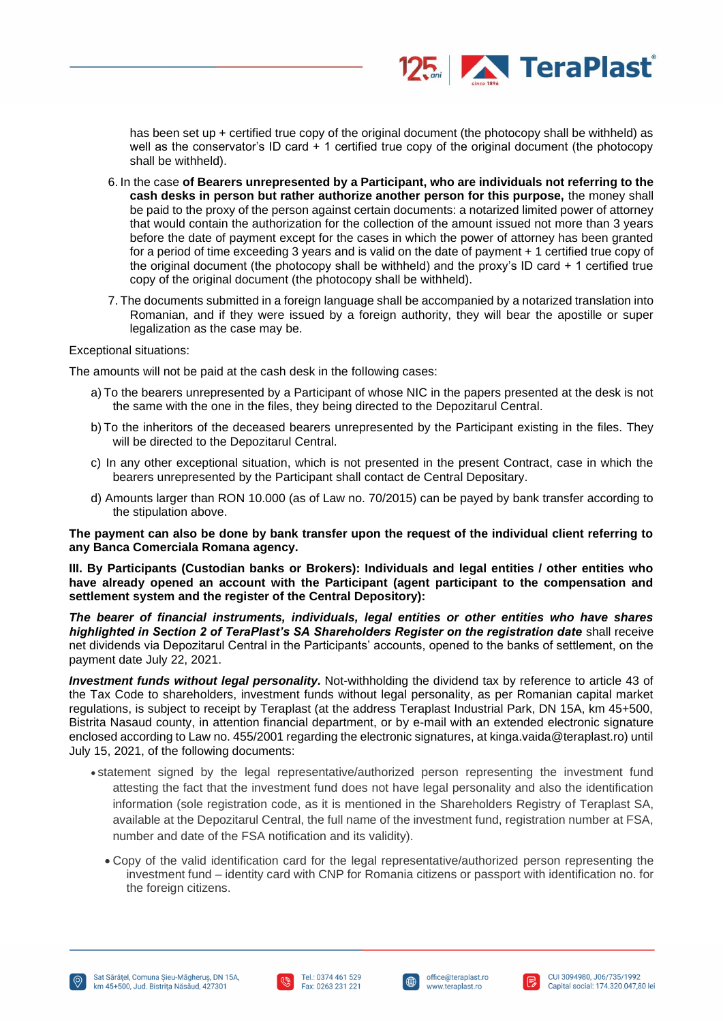

has been set up + certified true copy of the original document (the photocopy shall be withheld) as well as the conservator's ID card + 1 certified true copy of the original document (the photocopy shall be withheld).

- 6. In the case **of Bearers unrepresented by a Participant, who are individuals not referring to the cash desks in person but rather authorize another person for this purpose,** the money shall be paid to the proxy of the person against certain documents: a notarized limited power of attorney that would contain the authorization for the collection of the amount issued not more than 3 years before the date of payment except for the cases in which the power of attorney has been granted for a period of time exceeding 3 years and is valid on the date of payment + 1 certified true copy of the original document (the photocopy shall be withheld) and the proxy's ID card + 1 certified true copy of the original document (the photocopy shall be withheld).
- 7. The documents submitted in a foreign language shall be accompanied by a notarized translation into Romanian, and if they were issued by a foreign authority, they will bear the apostille or super legalization as the case may be.

#### Exceptional situations:

The amounts will not be paid at the cash desk in the following cases:

- a) To the bearers unrepresented by a Participant of whose NIC in the papers presented at the desk is not the same with the one in the files, they being directed to the Depozitarul Central.
- b) To the inheritors of the deceased bearers unrepresented by the Participant existing in the files. They will be directed to the Depozitarul Central.
- c) In any other exceptional situation, which is not presented in the present Contract, case in which the bearers unrepresented by the Participant shall contact de Central Depositary.
- d) Amounts larger than RON 10.000 (as of Law no. 70/2015) can be payed by bank transfer according to the stipulation above.

**The payment can also be done by bank transfer upon the request of the individual client referring to any Banca Comerciala Romana agency.**

**III. By Participants (Custodian banks or Brokers): Individuals and legal entities / other entities who have already opened an account with the Participant (agent participant to the compensation and settlement system and the register of the Central Depository):**

*The bearer of financial instruments, individuals, legal entities or other entities who have shares highlighted in Section 2 of TeraPlast's SA Shareholders Register on the registration date* shall receive net dividends via Depozitarul Central in the Participants' accounts, opened to the banks of settlement, on the payment date July 22, 2021.

*Investment funds without legal personality.* Not-withholding the dividend tax by reference to article 43 of the Tax Code to shareholders, investment funds without legal personality, as per Romanian capital market regulations, is subject to receipt by Teraplast (at the address Teraplast Industrial Park, DN 15A, km 45+500, Bistrita Nasaud county, in attention financial department, or by e-mail with an extended electronic signature enclosed according to Law no. 455/2001 regarding the electronic signatures, at kinga.vaida@teraplast.ro) until July 15, 2021, of the following documents:

- statement signed by the legal representative/authorized person representing the investment fund attesting the fact that the investment fund does not have legal personality and also the identification information (sole registration code, as it is mentioned in the Shareholders Registry of Teraplast SA, available at the Depozitarul Central, the full name of the investment fund, registration number at FSA, number and date of the FSA notification and its validity).
	- Copy of the valid identification card for the legal representative/authorized person representing the investment fund – identity card with CNP for Romania citizens or passport with identification no. for the foreign citizens.





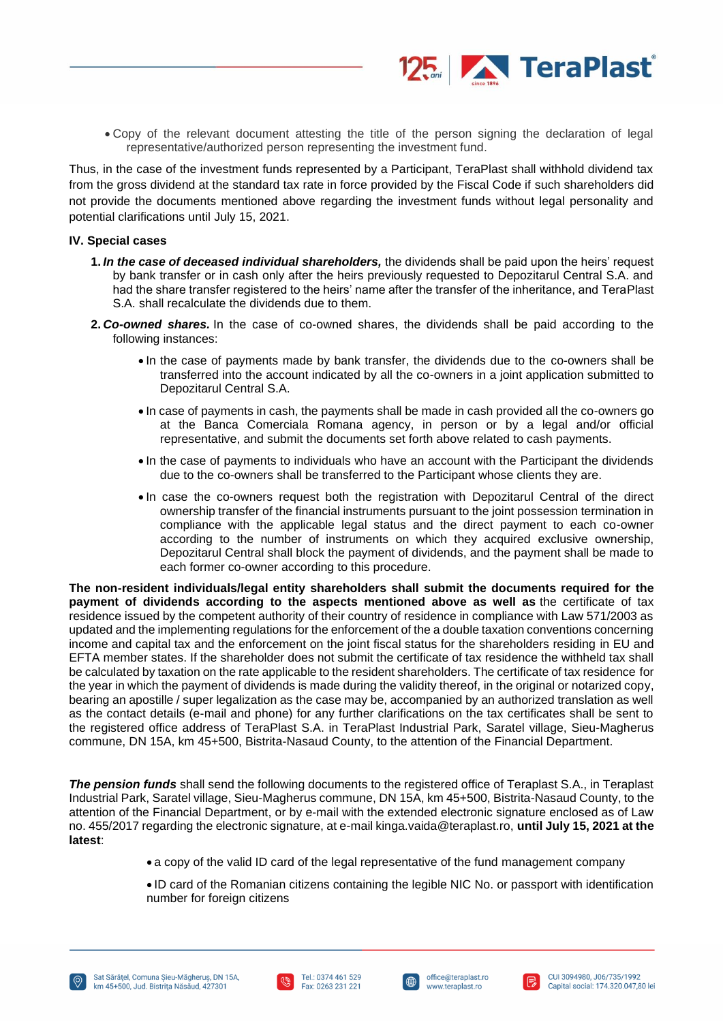

• Copy of the relevant document attesting the title of the person signing the declaration of legal representative/authorized person representing the investment fund.

Thus, in the case of the investment funds represented by a Participant, TeraPlast shall withhold dividend tax from the gross dividend at the standard tax rate in force provided by the Fiscal Code if such shareholders did not provide the documents mentioned above regarding the investment funds without legal personality and potential clarifications until July 15, 2021.

#### **IV. Special cases**

- **1.** *In the case of deceased individual shareholders,* the dividends shall be paid upon the heirs' request by bank transfer or in cash only after the heirs previously requested to Depozitarul Central S.A. and had the share transfer registered to the heirs' name after the transfer of the inheritance, and TeraPlast S.A. shall recalculate the dividends due to them.
- **2.** *Co-owned shares.* In the case of co-owned shares, the dividends shall be paid according to the following instances:
	- In the case of payments made by bank transfer, the dividends due to the co-owners shall be transferred into the account indicated by all the co-owners in a joint application submitted to Depozitarul Central S.A.
	- In case of payments in cash, the payments shall be made in cash provided all the co-owners go at the Banca Comerciala Romana agency, in person or by a legal and/or official representative, and submit the documents set forth above related to cash payments.
	- In the case of payments to individuals who have an account with the Participant the dividends due to the co-owners shall be transferred to the Participant whose clients they are.
	- In case the co-owners request both the registration with Depozitarul Central of the direct ownership transfer of the financial instruments pursuant to the joint possession termination in compliance with the applicable legal status and the direct payment to each co-owner according to the number of instruments on which they acquired exclusive ownership, Depozitarul Central shall block the payment of dividends, and the payment shall be made to each former co-owner according to this procedure.

**The non-resident individuals/legal entity shareholders shall submit the documents required for the payment of dividends according to the aspects mentioned above as well as** the certificate of tax residence issued by the competent authority of their country of residence in compliance with Law 571/2003 as updated and the implementing regulations for the enforcement of the a double taxation conventions concerning income and capital tax and the enforcement on the joint fiscal status for the shareholders residing in EU and EFTA member states. If the shareholder does not submit the certificate of tax residence the withheld tax shall be calculated by taxation on the rate applicable to the resident shareholders. The certificate of tax residence for the year in which the payment of dividends is made during the validity thereof, in the original or notarized copy, bearing an apostille / super legalization as the case may be, accompanied by an authorized translation as well as the contact details (e-mail and phone) for any further clarifications on the tax certificates shall be sent to the registered office address of TeraPlast S.A. in TeraPlast Industrial Park, Saratel village, Sieu-Magherus commune, DN 15A, km 45+500, Bistrita-Nasaud County, to the attention of the Financial Department.

*The pension funds* shall send the following documents to the registered office of Teraplast S.A., in Teraplast Industrial Park, Saratel village, Sieu-Magherus commune, DN 15A, km 45+500, Bistrita-Nasaud County, to the attention of the Financial Department, or by e-mail with the extended electronic signature enclosed as of Law no. 455/2017 regarding the electronic signature, at e-mail kinga.vaida@teraplast.ro, **until July 15, 2021 at the latest**:

- a copy of the valid ID card of the legal representative of the fund management company
- ID card of the Romanian citizens containing the legible NIC No. or passport with identification number for foreign citizens